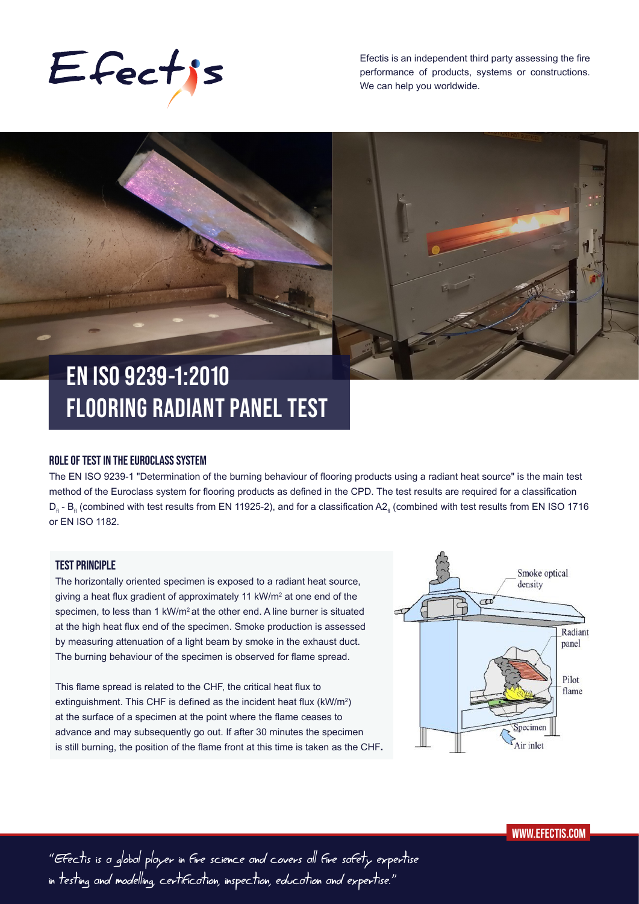

Efectis is an independent third party assessing the fire performance of products, systems or constructions. We can help you worldwide.

# **EN ISO 9239-1:2010 FLOORING RADIANT PANEL TEST**

#### **ROLE OF TEST IN THE EUROCLASS SYSTEM**

The EN ISO 9239-1 "Determination of the burning behaviour of flooring products using a radiant heat source" is the main test method of the Euroclass system for flooring products as defined in the CPD. The test results are required for a classification D<sub>n</sub> - B<sub>n</sub> (combined with test results from EN 11925-2), and for a classification A2<sub>n</sub> (combined with test results from EN ISO 1716 or EN ISO 1182.

# **TEST PRINCIPLE**

The horizontally oriented specimen is exposed to a radiant heat source, giving a heat flux gradient of approximately 11 kW/m<sup>2</sup> at one end of the specimen, to less than 1 kW/m<sup>2</sup> at the other end. A line burner is situated at the high heat flux end of the specimen. Smoke production is assessed by measuring attenuation of a light beam by smoke in the exhaust duct. The burning behaviour of the specimen is observed for flame spread.

This flame spread is related to the CHF, the critical heat flux to extinguishment. This CHF is defined as the incident heat flux (kW/m $^2$ ) at the surface of a specimen at the point where the flame ceases to advance and may subsequently go out. If after 30 minutes the specimen is still burning, the position of the flame front at this time is taken as the CHF**.**



"Efectis is a global player in fire science and covers all fire safety expertise in testing and modelling, certification, inspection, education and expertise."